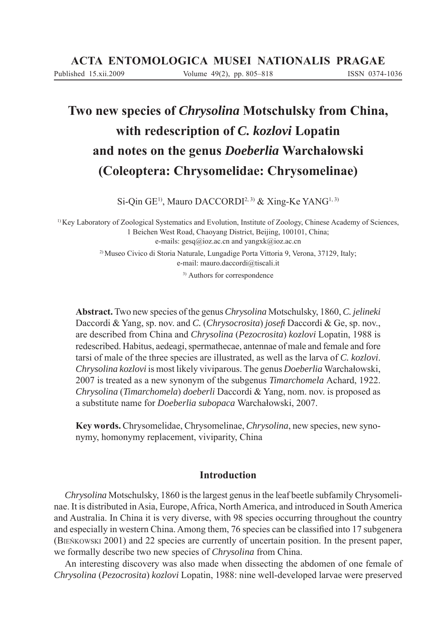Published 15.xii.2009 Volume 49(2), pp. 805–818 ISSN 0374-1036

# **Two new species of** *Chrysolina* **Motschulsky from China, with redescription of** *C. kozlovi* **Lopatin and notes on the genus** *Doeberlia* **Warchałowski (Coleoptera: Chrysomelidae: Chrysomelinae)**

Si-Qin GE<sup>1)</sup>, Mauro DACCORDI<sup>2, 3)</sup> & Xing-Ke YANG<sup>1, 3)</sup>

<sup>1)</sup> Key Laboratory of Zoological Systematics and Evolution, Institute of Zoology, Chinese Academy of Sciences, 1 Beichen West Road, Chaoyang District, Beijing, 100101, China; e-mails: gesq@ioz.ac.cn and yangxk@ioz.ac.cn 2) Museo Civico di Storia Naturale, Lungadige Porta Vittoria 9, Verona, 37129, Italy; e-mail: mauro.daccordi@tiscali.it

3) Authors for correspondence

**Abstract.** Two new species of the genus *Chrysolina* Motschulsky, 1860, *C. jelineki* Daccordi & Yang, sp. nov. and *C.* (*Chrysocrosita*) *josefi* Daccordi & Ge, sp. nov., are described from China and *Chrysolina* (*Pezocrosita*) *kozlovi* Lopatin, 1988 is redescribed. Habitus, aedeagi, spermathecae, antennae of male and female and fore tarsi of male of the three species are illustrated, as well as the larva of *C. kozlovi*. *Chrysolina kozlovi* is most likely viviparous. The genus *Doeberlia* Warchałowski, 2007 is treated as a new synonym of the subgenus *Timarchomela* Achard, 1922. *Chrysolina* (*Timarchomela*) *doeberli* Daccordi & Yang, nom. nov. is proposed as a substitute name for *Doeberlia subopaca* Warchałowski, 2007.

**Key words.** Chrysomelidae, Chrysomelinae, *Chrysolina*, new species, new synonymy, homonymy replacement, viviparity, China

# **Introduction**

*Chrysolina* Motschulsky, 1860 is the largest genus in the leaf beetle subfamily Chrysomelinae. It is distributed in Asia, Europe, Africa, North America, and introduced in South America and Australia. In China it is very diverse, with 98 species occurring throughout the country and especially in western China. Among them, 76 species can be classified into 17 subgenera (BIEŃKOWSKI 2001) and 22 species are currently of uncertain position. In the present paper, we formally describe two new species of *Chrysolina* from China.

An interesting discovery was also made when dissecting the abdomen of one female of *Chrysolina* (*Pezocrosita*) *kozlovi* Lopatin, 1988: nine well-developed larvae were preserved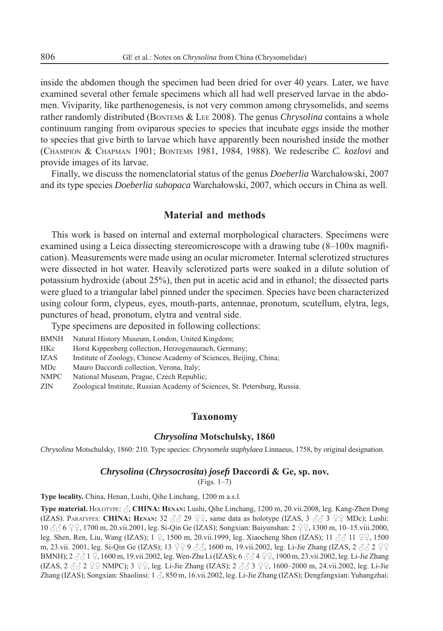inside the abdomen though the specimen had been dried for over 40 years. Later, we have examined several other female specimens which all had well preserved larvae in the abdomen. Viviparity, like parthenogenesis, is not very common among chrysomelids, and seems rather randomly distributed (BONTEMS & LEE 2008). The genus *Chrysolina* contains a whole continuum ranging from oviparous species to species that incubate eggs inside the mother to species that give birth to larvae which have apparently been nourished inside the mother (CHAMPION & CHAPMAN 1901; BONTEMS 1981, 1984, 1988). We redescribe *C. kozlovi* and provide images of its larvae.

Finally, we discuss the nomenclatorial status of the genus *Doeberlia* Warchałowski, 2007 and its type species *Doeberlia subopaca* Warchałowski, 2007, which occurs in China as well.

# **Material and methods**

This work is based on internal and external morphological characters. Specimens were examined using a Leica dissecting stereomicroscope with a drawing tube (8–100x magnification). Measurements were made using an ocular micrometer. Internal sclerotized structures were dissected in hot water. Heavily sclerotized parts were soaked in a dilute solution of potassium hydroxide (about 25%), then put in acetic acid and in ethanol; the dissected parts were glued to a triangular label pinned under the specimen. Species have been characterized using colour form, clypeus, eyes, mouth-parts, antennae, pronotum, scutellum, elytra, legs, punctures of head, pronotum, elytra and ventral side.

Type specimens are deposited in following collections:

- BMNH Natural History Museum, London, United Kingdom;
- HKc Horst Kippenberg collection, Herzogenaurach, Germany;
- IZAS Institute of Zoology, Chinese Academy of Sciences, Beijing, China;
- MDc Mauro Daccordi collection, Verona, Italy;
- NMPC National Museum, Prague, Czech Republic;
- ZIN Zoological Institute, Russian Academy of Sciences, St. Petersburg, Russia.

## **Taxonomy**

#### *Chrysolina* **Motschulsky, 1860**

*Chrysolina* Motschulsky, 1860: 210. Type species: *Chrysomela staphylaea* Linnaeus, 1758, by original designation.

## *Chrysolina* **(***Chrysocrosita***)** *josefi* **Daccordi & Ge, sp. nov.**

(Figs. 1–7)

**Type locality.** China, Henan, Lushi, Qihe Linchang, 1200 m a.s.l.

**Type material.** HOLOTYPE: , **CHINA: HENAN:** Lushi, Qihe Linchang, 1200 m, 20.vii.2008, leg. Kang-Zhen Dong (IZAS). PARATYPES: CHINA: HENAN:  $32 \text{ } \textcircled{2}9 \text{ } \textcircled{2}9$ , same data as holotype (IZAS,  $3 \text{ } \textcircled{3}3 \text{ } \textcircled{2}9$  MDc); Lushi: 10 6 , 1700 m, 20.vii.2001, leg. Si-Qin Ge (IZAS); Songxian: Baiyunshan: 2 , 1300 m, 10–15.viii.2000, leg. Shen, Ren, Liu, Wang (IZAS); 1  $\Omega$ , 1500 m, 20.vii.1999, leg. Xiaocheng Shen (IZAS); 11  $\partial \Omega$  11  $\Omega$ , 1500 m, 23.vii. 2001, leg. Si-Qin Ge (IZAS); 13  $993\%$ , 1600 m, 19.vii.2002, leg. Li-Jie Zhang (IZAS, 2  $329$ BMNH); 2  $\Im\Im$  1  $\Im$ , 1600 m, 19.vii.2002, leg. Wen-Zhu Li (IZAS); 6  $\Im\Im$  4  $\Im$   $\Im$ , 1900 m, 23.vii.2002, leg. Li-Jie Zhang (IZAS,  $2 \text{ } \textcircled{2} \, 2 \, \textcircled{2} \, 2 \, \text{ } \text{NMPC}$ );  $3 \, \textcircled{2} \, 2$ , leg. Li-Jie Zhang (IZAS);  $2 \, \textcircled{3} \, 3 \, \textcircled{2} \, 2$ , 1600–2000 m, 24.vii.2002, leg. Li-Jie Zhang (IZAS); Songxian: Shaolinsi:  $1 \land$ , 850 m, 16.vii.2002, leg. Li-Jie Zhang (IZAS); Dengfangxian: Yuhangzhai: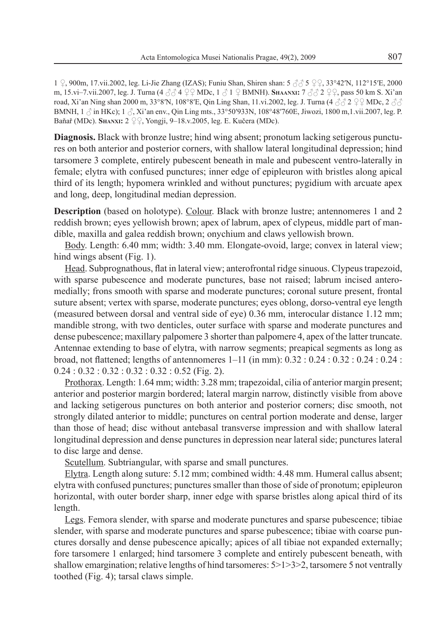1  $\Omega$ , 900m, 17.vii.2002, leg. Li-Jie Zhang (IZAS); Funiu Shan, Shiren shan: 5  $\partial \partial \Omega$   $\Omega$   $\Omega$  33°42′N, 112°15′E, 2000 m, 15.vi–7.vii.2007, leg. J. Turna (4  $\beta \beta$  4  $\textcircled{2}$  MDc, 1  $\beta$  1  $\textcircled{2}$  BMNH). SHAANXI: 7  $\beta \beta$  2  $\textcircled{2}$ , pass 50 km S. Xi'an road, Xi'an Ning shan 2000 m, 33°8′N, 108°8′E, Qin Ling Shan, 11.vi.2002, leg. J. Turna (4  $\beta\beta$  2  $\gamma$  MDc, 2  $\beta\beta$ BMNH,  $1 \land \text{in HKc}$ ;  $1 \land \text{Xi}$  an env., Qin Ling mts., 33°50′933N, 108°48′760E, Jiwozi, 1800 m,1.vii.2007, leg. P. Baňař (MDc). **S**HANXI: 2 <sup>Q Q</sup>. Yongji, 9–18.v.2005, leg. E. Kučera (MDc).

**Diagnosis.** Black with bronze lustre; hind wing absent; pronotum lacking setigerous punctures on both anterior and posterior corners, with shallow lateral longitudinal depression; hind tarsomere 3 complete, entirely pubescent beneath in male and pubescent ventro-laterally in female; elytra with confused punctures; inner edge of epipleuron with bristles along apical third of its length; hypomera wrinkled and without punctures; pygidium with arcuate apex and long, deep, longitudinal median depression.

**Description** (based on holotype). Colour. Black with bronze lustre; antennomeres 1 and 2 reddish brown; eyes yellowish brown; apex of labrum, apex of clypeus, middle part of mandible, maxilla and galea reddish brown; onychium and claws yellowish brown.

Body. Length: 6.40 mm; width: 3.40 mm. Elongate-ovoid, large; convex in lateral view; hind wings absent (Fig. 1).

Head. Subprognathous, flat in lateral view; anterofrontal ridge sinuous. Clypeus trapezoid, with sparse pubescence and moderate punctures, base not raised; labrum incised anteromedially; frons smooth with sparse and moderate punctures; coronal suture present, frontal suture absent; vertex with sparse, moderate punctures; eyes oblong, dorso-ventral eye length (measured between dorsal and ventral side of eye) 0.36 mm, interocular distance 1.12 mm; mandible strong, with two denticles, outer surface with sparse and moderate punctures and dense pubescence; maxillary palpomere 3 shorter than palpomere 4, apex of the latter truncate. Antennae extending to base of elytra, with narrow segments; preapical segments as long as broad, not flattened; lengths of antennomeres 1–11 (in mm):  $0.32 : 0.24 : 0.32 : 0.24 : 0.24 :$  $0.24:0.32:0.32:0.32:0.32:0.52$  (Fig. 2).

Prothorax. Length: 1.64 mm; width: 3.28 mm; trapezoidal, cilia of anterior margin present; anterior and posterior margin bordered; lateral margin narrow, distinctly visible from above and lacking setigerous punctures on both anterior and posterior corners; disc smooth, not strongly dilated anterior to middle; punctures on central portion moderate and dense, larger than those of head; disc without antebasal transverse impression and with shallow lateral longitudinal depression and dense punctures in depression near lateral side; punctures lateral to disc large and dense.

Scutellum. Subtriangular, with sparse and small punctures.

Elytra. Length along suture: 5.12 mm; combined width: 4.48 mm. Humeral callus absent; elytra with confused punctures; punctures smaller than those of side of pronotum; epipleuron horizontal, with outer border sharp, inner edge with sparse bristles along apical third of its length.

Legs. Femora slender, with sparse and moderate punctures and sparse pubescence; tibiae slender, with sparse and moderate punctures and sparse pubescence; tibiae with coarse punctures dorsally and dense pubescence apically; apices of all tibiae not expanded externally; fore tarsomere 1 enlarged; hind tarsomere 3 complete and entirely pubescent beneath, with shallow emargination; relative lengths of hind tarsomeres:  $5 > 1 > 3 > 2$ , tarsomere 5 not ventrally toothed (Fig. 4); tarsal claws simple.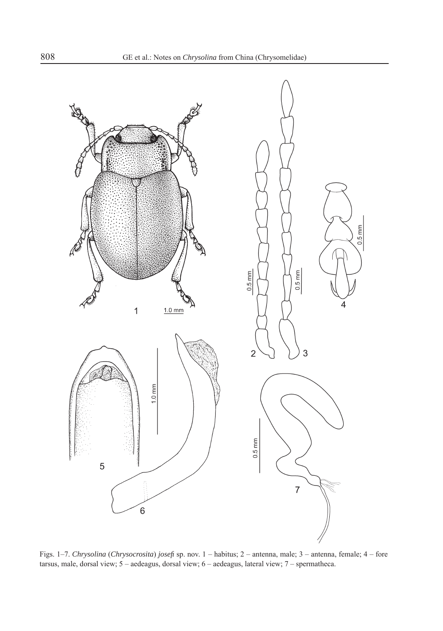

Figs. 1–7. *Chrysolina* (*Chrysocrosita*) *josefi* sp. nov. 1 – habitus; 2 – antenna, male; 3 – antenna, female; 4 – fore tarsus, male, dorsal view; 5 – aedeagus, dorsal view; 6 – aedeagus, lateral view; 7 – spermatheca.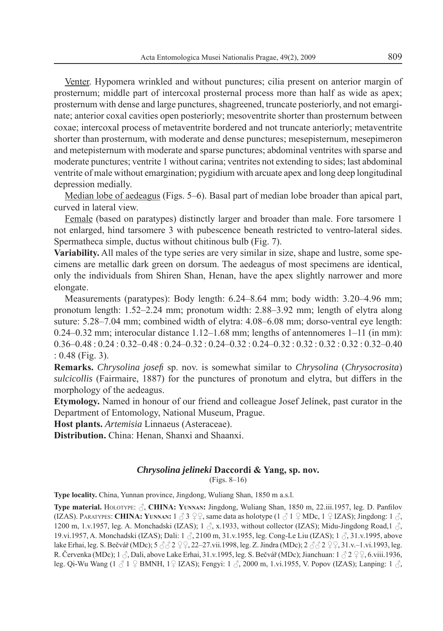Venter. Hypomera wrinkled and without punctures; cilia present on anterior margin of prosternum; middle part of intercoxal prosternal process more than half as wide as apex; prosternum with dense and large punctures, shagreened, truncate posteriorly, and not emarginate; anterior coxal cavities open posteriorly; mesoventrite shorter than prosternum between coxae; intercoxal process of metaventrite bordered and not truncate anteriorly; metaventrite shorter than prosternum, with moderate and dense punctures; mesepisternum, mesepimeron and metepisternum with moderate and sparse punctures; abdominal ventrites with sparse and moderate punctures; ventrite 1 without carina; ventrites not extending to sides; last abdominal ventrite of male without emargination; pygidium with arcuate apex and long deep longitudinal depression medially.

Median lobe of aedeagus (Figs. 5–6). Basal part of median lobe broader than apical part, curved in lateral view.

Female (based on paratypes) distinctly larger and broader than male. Fore tarsomere 1 not enlarged, hind tarsomere 3 with pubescence beneath restricted to ventro-lateral sides. Spermatheca simple, ductus without chitinous bulb (Fig. 7).

**Variability.** All males of the type series are very similar in size, shape and lustre, some specimens are metallic dark green on dorsum. The aedeagus of most specimens are identical, only the individuals from Shiren Shan, Henan, have the apex slightly narrower and more elongate.

Measurements (paratypes): Body length: 6.24–8.64 mm; body width: 3.20–4.96 mm; pronotum length: 1.52–2.24 mm; pronotum width: 2.88–3.92 mm; length of elytra along suture: 5.28–7.04 mm; combined width of elytra: 4.08–6.08 mm; dorso-ventral eye length:  $0.24-0.32$  mm; interocular distance  $1.12-1.68$  mm; lengths of antennomeres  $1-11$  (in mm): 0.36–0.48 : 0.24 : 0.32–0.48 : 0.24–0.32 : 0.24–0.32 : 0.24–0.32 : 0.32 : 0.32 : 0.32 : 0.32–0.40 : 0.48 (Fig. 3).

**Remarks.** *Chrysolina josefi* sp. nov. is somewhat similar to *Chrysolina* (*Chrysocrosita*) *sulcicollis* (Fairmaire, 1887) for the punctures of pronotum and elytra, but differs in the morphology of the aedeagus.

**Etymology.** Named in honour of our friend and colleague Josef Jelínek, past curator in the Department of Entomology, National Museum, Prague.

**Host plants.** *Artemisia* Linnaeus (Asteraceae).

**Distribution.** China: Henan, Shanxi and Shaanxi.

### *Chrysolina jelineki* **Daccordi & Yang, sp. nov.**

(Figs. 8–16)

**Type locality.** China, Yunnan province, Jingdong, Wuliang Shan, 1850 m a.s.l.

**Type material.** HOLOTYPE:  $\beta$ , **CHINA: YUNNAN:** Jingdong, Wuliang Shan, 1850 m, 22.iii.1957, leg. D. Panfilov (IZAS). PARATYPES: **CHINA: YUNNAN:**  $1 \text{ } \textcircled{3} \text{ } 2 \text{ } \textcircled{7}$ , same data as holotype ( $1 \text{ } \textcircled{1} \text{ } 1 \text{ } \textcircled{1}$  MDc,  $1 \text{ } \textcircled{1}$  IZAS); Jingdong:  $1 \text{ } \textcircled{5}$ , 1200 m, 1.v.1957, leg. A. Monchadski (IZAS); 1  $\beta$ , x.1933, without collector (IZAS); Midu-Jingdong Road,1  $\beta$ , 19.vi.1957, A. Monchadski (IZAS); Dali: 1  $\Diamond$ , 2100 m, 31.v.1955, leg. Cong-Le Liu (IZAS); 1  $\Diamond$ , 31.v.1995, above lake Erhai, leg. S. Bečvář (MDc); 5  $\beta$   $\beta$  2  $\beta$ , 22–27.vii.1998, leg. Z. Jindra (MDc); 2  $\beta$   $\beta$  2  $\beta$ , 31.v.–1.vi.1993, leg. R. Červenka (MDc); 1  $\Diamond$ . Dali, above Lake Erhai, 31.v.1995, leg. S. Bečvář (MDc); Jianchuan: 1  $\Diamond$  2  $\Diamond$   $\Diamond$  6.viii.1936, leg. Qi-Wu Wang  $(1 \text{ }\mathcal{J} \text{ } 1 \text{ }\mathcal{Q}$  BMNH,  $1 \text{ }\mathcal{Q}$  IZAS); Fengyi:  $1 \text{ }\mathcal{J}$ , 2000 m, 1.vi.1955, V. Popov (IZAS); Lanping:  $1 \text{ }\mathcal{J}$ ,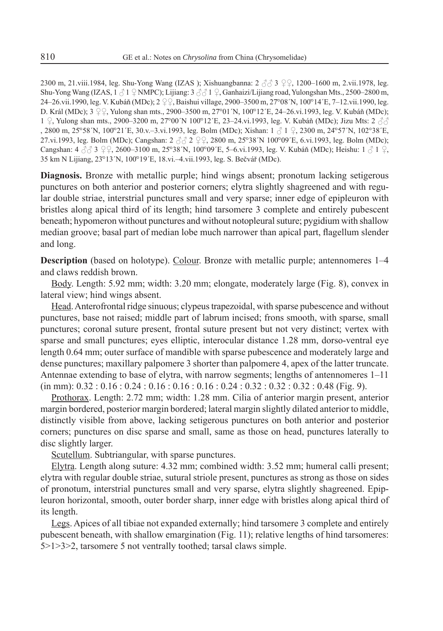2300 m, 21.viii.1984, leg. Shu-Yong Wang (IZAS); Xishuangbanna:  $2 \stackrel{?}{\sim} 3 \stackrel{?}{\sim} 2 \stackrel{?}{\sim} 1200 - 1600$  m, 2.vii.1978, leg. Shu-Yong Wang (IZAS,  $1 \beta 1 \gamma$  MMPC); Lijiang:  $3 \beta \beta 1 \gamma$ , Ganhaizi/Lijiang road, Yulongshan Mts., 2500–2800 m, 24–26.vii.1990, leg. V. Kubáň (MDc); 2  $\varphi$ , Baishui village, 2900–3500 m, 27°08´N, 100°14´E, 7–12.vii.1990, leg. D. Král (MDc);  $3 \nsubseteq$ . Yulong shan mts., 2900–3500 m, 27°01´N, 100°12´E, 24–26.vi.1993, leg. V. Kubáň (MDc); 1  $\Omega$ . Yulong shan mts., 2900–3200 m, 27°00´N 100°12´E, 23–24.vi.1993, leg. V. Kubáň (MDc); Jizu Mts: 2  $\mathcal{A}\mathcal{A}$ , 2800 m, 25°58´N, 100°21´E, 30.v.–3.vi.1993, leg. Bolm (MDc); Xishan:  $1 \stackrel{?}{\sim} 1 \stackrel{?}{\sim} 2300$  m, 24°57´N, 102°38´E, 27.vi.1993, leg. Bolm (MDc); Cangshan:  $2 \text{ } \text{\ensuremath{\beta}} \text{ } \text{\ensuremath{\beta}} 2 \text{ } \text{\ensuremath{\zeta}} \text{ } 2, 2800 \text{ m}, 25^{\circ}38^{\circ}$ N 100°09´E, 6.vi.1993, leg. Bolm (MDc); Cangshan: 4  $3/3$   $9/3$ , 2600–3100 m, 25°38´N, 100°09´E, 5–6.vi.1993, leg. V. Kubáň (MDc); Heishu: 1  $3/1$   $9/3$ . 35 km N Lijiang, 23°13´N, 100°19′E, 18.vi.–4.vii.1993, leg. S. Bečvář (MDc).

**Diagnosis.** Bronze with metallic purple; hind wings absent; pronotum lacking setigerous punctures on both anterior and posterior corners; elytra slightly shagreened and with regular double striae, interstrial punctures small and very sparse; inner edge of epipleuron with bristles along apical third of its length; hind tarsomere 3 complete and entirely pubescent beneath; hypomeron without punctures and without notopleural suture; pygidium with shallow median groove; basal part of median lobe much narrower than apical part, flagellum slender and long.

**Description** (based on holotype). Colour. Bronze with metallic purple; antennomeres  $1-4$ and claws reddish brown.

Body. Length: 5.92 mm; width: 3.20 mm; elongate, moderately large (Fig. 8), convex in lateral view; hind wings absent.

Head. Anterofrontal ridge sinuous; clypeus trapezoidal, with sparse pubescence and without punctures, base not raised; middle part of labrum incised; frons smooth, with sparse, small punctures; coronal suture present, frontal suture present but not very distinct; vertex with sparse and small punctures; eyes elliptic, interocular distance 1.28 mm, dorso-ventral eye length 0.64 mm; outer surface of mandible with sparse pubescence and moderately large and dense punctures; maxillary palpomere 3 shorter than palpomere 4, apex of the latter truncate. Antennae extending to base of elytra, with narrow segments; lengths of antennomeres 1–11  $(in mm): 0.32 : 0.16 : 0.24 : 0.16 : 0.16 : 0.16 : 0.24 : 0.32 : 0.32 : 0.32 : 0.48$  (Fig. 9).

Prothorax. Length: 2.72 mm; width: 1.28 mm. Cilia of anterior margin present, anterior margin bordered, posterior margin bordered; lateral margin slightly dilated anterior to middle, distinctly visible from above, lacking setigerous punctures on both anterior and posterior corners; punctures on disc sparse and small, same as those on head, punctures laterally to disc slightly larger.

Scutellum. Subtriangular, with sparse punctures.

Elytra. Length along suture: 4.32 mm; combined width: 3.52 mm; humeral calli present; elytra with regular double striae, sutural striole present, punctures as strong as those on sides of pronotum, interstrial punctures small and very sparse, elytra slightly shagreened. Epipleuron horizontal, smooth, outer border sharp, inner edge with bristles along apical third of its length.

Legs. Apices of all tibiae not expanded externally; hind tarsomere 3 complete and entirely pubescent beneath, with shallow emargination (Fig. 11); relative lengths of hind tarsomeres: 5>1>3>2, tarsomere 5 not ventrally toothed; tarsal claws simple.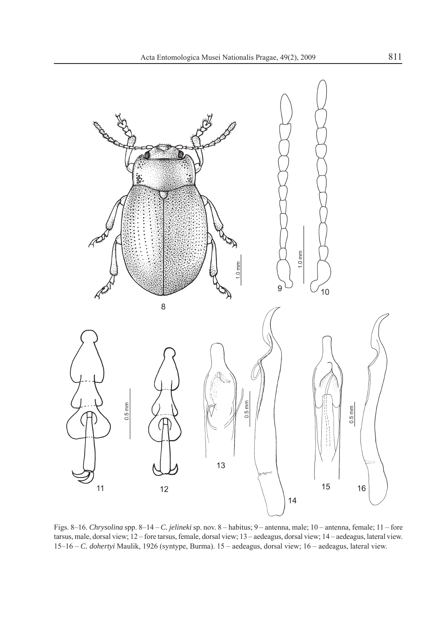

Figs. 8–16. *Chrysolina* spp. 8–14 – *C. jelineki* sp. nov. 8 – habitus; 9 – antenna, male; 10 – antenna, female; 11 – fore tarsus, male, dorsal view; 12 – fore tarsus, female, dorsal view; 13 – aedeagus, dorsal view; 14 – aedeagus, lateral view. 15–16 – *C. dohertyi* Maulik, 1926 (syntype, Burma). 15 – aedeagus, dorsal view; 16 – aedeagus, lateral view.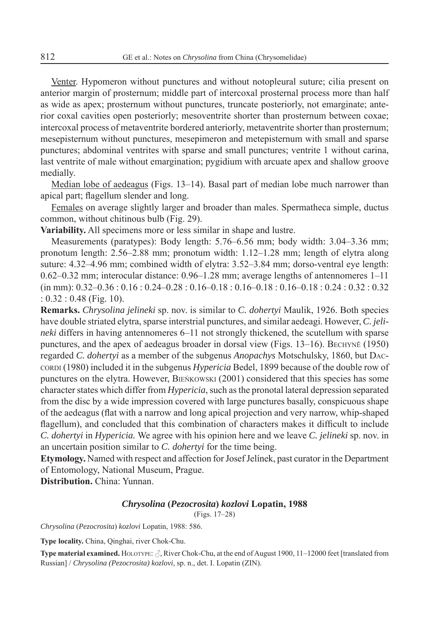Venter. Hypomeron without punctures and without notopleural suture; cilia present on anterior margin of prosternum; middle part of intercoxal prosternal process more than half as wide as apex; prosternum without punctures, truncate posteriorly, not emarginate; anterior coxal cavities open posteriorly; mesoventrite shorter than prosternum between coxae; intercoxal process of metaventrite bordered anteriorly, metaventrite shorter than prosternum; mesepisternum without punctures, mesepimeron and metepisternum with small and sparse punctures; abdominal ventrites with sparse and small punctures; ventrite 1 without carina, last ventrite of male without emargination; pygidium with arcuate apex and shallow groove medially.

Median lobe of aedeagus (Figs. 13–14). Basal part of median lobe much narrower than apical part; flagellum slender and long.

Females on average slightly larger and broader than males. Spermatheca simple, ductus common, without chitinous bulb (Fig. 29).

**Variability.** All specimens more or less similar in shape and lustre.

Measurements (paratypes): Body length: 5.76–6.56 mm; body width: 3.04–3.36 mm; pronotum length: 2.56–2.88 mm; pronotum width: 1.12–1.28 mm; length of elytra along suture: 4.32–4.96 mm; combined width of elytra: 3.52–3.84 mm; dorso-ventral eye length: 0.62–0.32 mm; interocular distance: 0.96–1.28 mm; average lengths of antennomeres 1–11 (in mm): 0.32–0.36 : 0.16 : 0.24–0.28 : 0.16–0.18 : 0.16–0.18 : 0.16–0.18 : 0.24 : 0.32 : 0.32 : 0.32 : 0.48 (Fig. 10).

**Remarks.** *Chrysolina jelineki* sp. nov. is similar to *C. dohertyi* Maulik, 1926. Both species have double striated elytra, sparse interstrial punctures, and similar aedeagi. However, *C. jelineki* differs in having antennomeres 6–11 not strongly thickened, the scutellum with sparse punctures, and the apex of aedeagus broader in dorsal view (Figs. 13–16). BECHYNĚ (1950) regarded *C. dohertyi* as a member of the subgenus *Anopachys* Motschulsky, 1860, but DAC-CORDI (1980) included it in the subgenus *Hypericia* Bedel, 1899 because of the double row of punctures on the elytra. However, BIEŃKOWSKI (2001) considered that this species has some character states which differ from *Hypericia*, such as the pronotal lateral depression separated from the disc by a wide impression covered with large punctures basally, conspicuous shape of the aedeagus (flat with a narrow and long apical projection and very narrow, whip-shaped flagellum), and concluded that this combination of characters makes it difficult to include *C. dohertyi* in *Hypericia.* We agree with his opinion here and we leave *C. jelineki* sp. nov. in an uncertain position similar to *C. dohertyi* for the time being.

**Etymology.** Named with respect and affection for Josef Jelínek, past curator in the Department of Entomology, National Museum, Prague.

**Distribution.** China: Yunnan.

#### *Chrysolina* **(***Pezocrosita***)** *kozlovi* **Lopatin, 1988**

(Figs. 17–28)

*Chrysolina* (*Pezocrosita*) *kozlovi* Lopatin, 1988: 586.

**Type locality.** China, Qinghai, river Chok-Chu.

**Type material examined.** HOLOTYPE:  $\beta$ , River Chok-Chu, at the end of August 1900, 11–12000 feet [translated from Russian] / *Chrysolina (Pezocrosita) kozlovi*, sp. n., det. I. Lopatin (ZIN).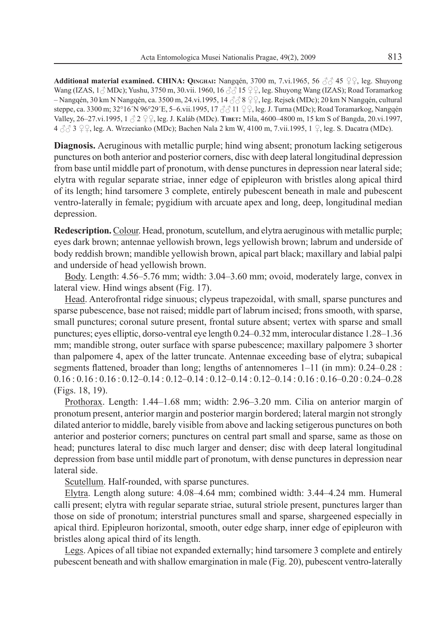**Additional material examined. CHINA: OINGHAI:** Nangqén, 3700 m, 7.vi.1965, 56  $\beta$   $\beta$  45  $\beta$  leg. Shuyong Wang (IZAS,  $1\text{ and }$  MDc); Yushu, 3750 m, 30.vii. 1960, 16  $\text{ and }$  15  $\text{ }$   $\text{ }$   $\text{ }$ ,  $\text{ }$   $\text{ }$   $\text{ }$   $\text{ }$   $\text{ }$   $\text{ }$   $\text{ }$   $\text{ }$   $\text{ }$   $\text{ }$   $\text{ }$   $\text{ }$   $\text{ }$   $\text{ }$   $\text{ }$   $\text{ }$   $\text{ }$   $\text{ }$   $\text$ – Nangqén, 30 km N Nangqén, ca. 3500 m, 24.vi.1995, 14  $\textcircled{3} 8 \textcircled{2}$ , leg. Rejsek (MDc); 20 km N Nangqén, cultural steppe, ca. 3300 m; 32°16´N 96°29´E, 5–6.vii.1995, 17 3 ∂ 11 9 º, leg. J. Turna (MDc); Road Toramarkog, Nangqén Valley, 26–27.vi.1995, 1  $\beta$  2  $\mathcal{Q}$ , leg. J. Kaláb (MDc). **TIBET:** Mila, 4600–4800 m, 15 km S of Bangda, 20.vi.1997,  $4 \text{ }\partial/\partial 3 \text{ }$  9  $\text{ }\Omega$ , leg. A. Wrzecianko (MDc); Bachen Nala 2 km W, 4100 m, 7.vii.1995, 1  $\text{ }\Omega$ , leg. S. Dacatra (MDc).

**Diagnosis.** Aeruginous with metallic purple; hind wing absent; pronotum lacking setigerous punctures on both anterior and posterior corners, disc with deep lateral longitudinal depression from base until middle part of pronotum, with dense punctures in depression near lateral side; elytra with regular separate striae, inner edge of epipleuron with bristles along apical third of its length; hind tarsomere 3 complete, entirely pubescent beneath in male and pubescent ventro-laterally in female; pygidium with arcuate apex and long, deep, longitudinal median depression.

**Redescription.**Colour. Head, pronotum, scutellum, and elytra aeruginous with metallic purple; eyes dark brown; antennae yellowish brown, legs yellowish brown; labrum and underside of body reddish brown; mandible yellowish brown, apical part black; maxillary and labial palpi and underside of head yellowish brown.

Body. Length: 4.56–5.76 mm; width: 3.04–3.60 mm; ovoid, moderately large, convex in lateral view. Hind wings absent (Fig. 17).

Head. Anterofrontal ridge sinuous; clypeus trapezoidal, with small, sparse punctures and sparse pubescence, base not raised; middle part of labrum incised; frons smooth, with sparse, small punctures; coronal suture present, frontal suture absent; vertex with sparse and small punctures; eyes elliptic, dorso-ventral eye length 0.24–0.32 mm, interocular distance 1.28–1.36 mm; mandible strong, outer surface with sparse pubescence; maxillary palpomere 3 shorter than palpomere 4, apex of the latter truncate. Antennae exceeding base of elytra; subapical segments flattened, broader than long; lengths of antennomeres  $1-11$  (in mm):  $0.24-0.28$ : 0.16 : 0.16 : 0.16 : 0.12–0.14 : 0.12–0.14 : 0.12–0.14 : 0.12–0.14 : 0.16 : 0.16–0.20 : 0.24–0.28 (Figs. 18, 19).

Prothorax. Length: 1.44–1.68 mm; width: 2.96–3.20 mm. Cilia on anterior margin of pronotum present, anterior margin and posterior margin bordered; lateral margin not strongly dilated anterior to middle, barely visible from above and lacking setigerous punctures on both anterior and posterior corners; punctures on central part small and sparse, same as those on head; punctures lateral to disc much larger and denser; disc with deep lateral longitudinal depression from base until middle part of pronotum, with dense punctures in depression near lateral side.

Scutellum. Half-rounded, with sparse punctures.

Elytra. Length along suture: 4.08–4.64 mm; combined width: 3.44–4.24 mm. Humeral calli present; elytra with regular separate striae, sutural striole present, punctures larger than those on side of pronotum; interstrial punctures small and sparse, shargeened especially in apical third. Epipleuron horizontal, smooth, outer edge sharp, inner edge of epipleuron with bristles along apical third of its length.

Legs. Apices of all tibiae not expanded externally; hind tarsomere 3 complete and entirely pubescent beneath and with shallow emargination in male (Fig. 20), pubescent ventro-laterally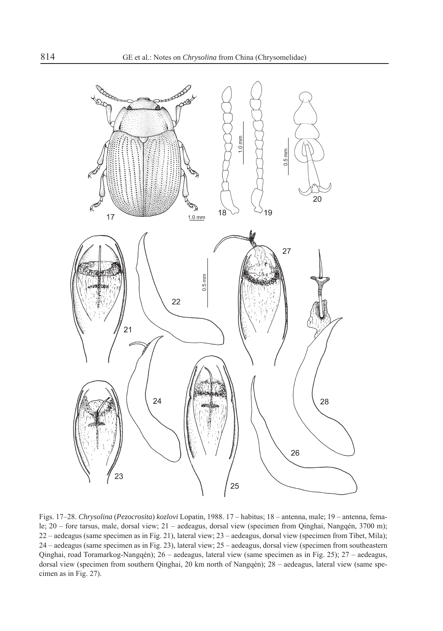

Figs. 17–28. *Chrysolina* (*Pezocrosita*) *kozlovi* Lopatin, 1988. 17 – habitus; 18 – antenna, male; 19 – antenna, female; 20 – fore tarsus, male, dorsal view; 21 – aedeagus, dorsal view (specimen from Qinghai, Nangqén, 3700 m); 22 – aedeagus (same specimen as in Fig. 21), lateral view; 23 – aedeagus, dorsal view (specimen from Tibet, Mila); 24 – aedeagus (same specimen as in Fig. 23), lateral view; 25 – aedeagus, dorsal view (specimen from southeastern Qinghai, road Toramarkog-Nangqén); 26 – aedeagus, lateral view (same specimen as in Fig. 25); 27 – aedeagus, dorsal view (specimen from southern Qinghai, 20 km north of Nangqén); 28 – aedeagus, lateral view (same specimen as in Fig. 27).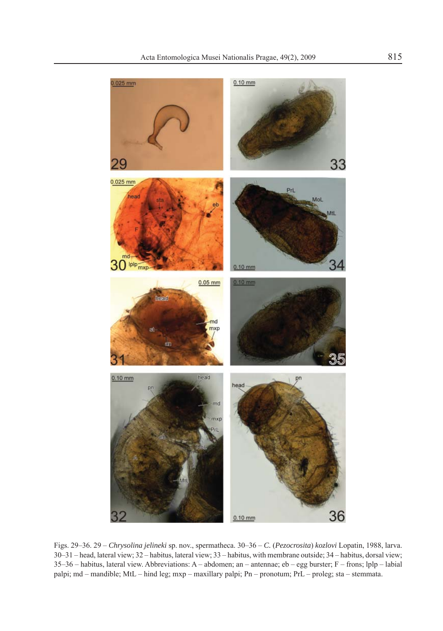

Figs. 29–36. 29 – *Chrysolina jelineki* sp. nov., spermatheca. 30–36 – *C.* (*Pezocrosita*) *kozlovi* Lopatin, 1988, larva. 30–31 – head, lateral view; 32 – habitus, lateral view; 33 – habitus, with membrane outside; 34 – habitus, dorsal view; 35–36 – habitus, lateral view. Abbreviations: A – abdomen; an – antennae; eb – egg burster; F – frons; lplp – labial palpi; md – mandible; MtL – hind leg; mxp – maxillary palpi; Pn – pronotum; PrL – proleg; sta – stemmata.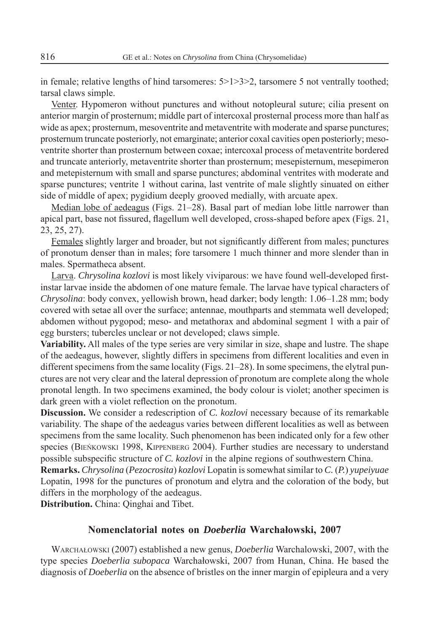in female; relative lengths of hind tarsomeres:  $5>1>3>2$ , tarsomere 5 not ventrally toothed; tarsal claws simple.

Venter. Hypomeron without punctures and without notopleural suture; cilia present on anterior margin of prosternum; middle part of intercoxal prosternal process more than half as wide as apex; prosternum, mesoventrite and metaventrite with moderate and sparse punctures; prosternum truncate posteriorly, not emarginate; anterior coxal cavities open posteriorly; mesoventrite shorter than prosternum between coxae; intercoxal process of metaventrite bordered and truncate anteriorly, metaventrite shorter than prosternum; mesepisternum, mesepimeron and metepisternum with small and sparse punctures; abdominal ventrites with moderate and sparse punctures; ventrite 1 without carina, last ventrite of male slightly sinuated on either side of middle of apex; pygidium deeply grooved medially, with arcuate apex.

Median lobe of aedeagus (Figs. 21–28). Basal part of median lobe little narrower than apical part, base not fissured, flagellum well developed, cross-shaped before apex (Figs. 21, 23, 25, 27).

Females slightly larger and broader, but not significantly different from males; punctures of pronotum denser than in males; fore tarsomere 1 much thinner and more slender than in males. Spermatheca absent.

Larva. *Chrysolina kozlovi* is most likely viviparous: we have found well-developed firstinstar larvae inside the abdomen of one mature female. The larvae have typical characters of *Chrysolina*: body convex, yellowish brown, head darker; body length: 1.06–1.28 mm; body covered with setae all over the surface; antennae, mouthparts and stemmata well developed; abdomen without pygopod; meso- and metathorax and abdominal segment 1 with a pair of egg bursters; tubercles unclear or not developed; claws simple.

**Variability.** All males of the type series are very similar in size, shape and lustre. The shape of the aedeagus, however, slightly differs in specimens from different localities and even in different specimens from the same locality (Figs. 21–28). In some specimens, the elytral punctures are not very clear and the lateral depression of pronotum are complete along the whole pronotal length. In two specimens examined, the body colour is violet; another specimen is dark green with a violet reflection on the pronotum.

**Discussion.** We consider a redescription of *C. kozlovi* necessary because of its remarkable variability. The shape of the aedeagus varies between different localities as well as between specimens from the same locality. Such phenomenon has been indicated only for a few other species (BIEŃKOWSKI 1998, KIPPENBERG 2004). Further studies are necessary to understand possible subspecific structure of *C. kozlovi* in the alpine regions of southwestern China.

**Remarks.** *Chrysolina* (*Pezocrosita*) *kozlovi* Lopatin is somewhat similar to *C.* (*P.*) *yupeiyuae* Lopatin, 1998 for the punctures of pronotum and elytra and the coloration of the body, but differs in the morphology of the aedeagus.

**Distribution.** China: Qinghai and Tibet.

## **Nomenclatorial notes on** *Doeberlia* **Warchałowski, 2007**

WARCHAŁOWSKI (2007) established a new genus, *Doeberlia* Warchalowski, 2007, with the type species *Doeberlia subopaca* Warchałowski, 2007 from Hunan, China. He based the diagnosis of *Doeberlia* on the absence of bristles on the inner margin of epipleura and a very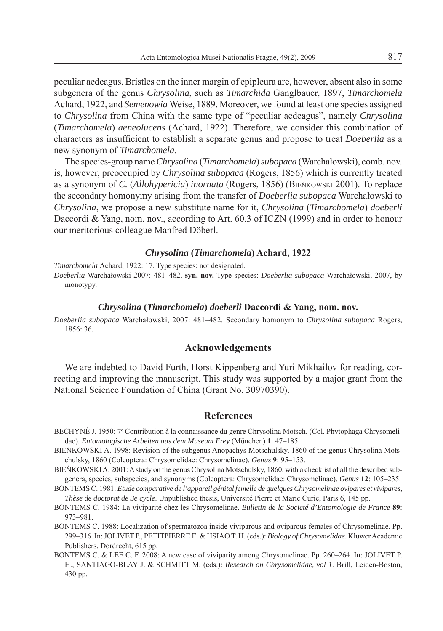peculiar aedeagus. Bristles on the inner margin of epipleura are, however, absent also in some subgenera of the genus *Chrysolina*, such as *Timarchida* Ganglbauer, 1897, *Timarchomela*  Achard, 1922, and *Semenowia* Weise, 1889. Moreover, we found at least one species assigned to *Chrysolina* from China with the same type of "peculiar aedeagus", namely *Chrysolina*  (*Timarchomela*) *aeneolucens* (Achard, 1922). Therefore, we consider this combination of characters as insufficient to establish a separate genus and propose to treat *Doeberlia* as a new synonym of *Timarchomela*.

The species-group name *Chrysolina* (*Timarchomela*) *subopaca* (Warchałowski), comb. nov. is, however, preoccupied by *Chrysolina subopaca* (Rogers, 1856) which is currently treated as a synonym of *C.* (*Allohypericia*) *inornata* (Rogers, 1856) (BIEŃKOWSKI 2001). To replace the secondary homonymy arising from the transfer of *Doeberlia subopaca* Warchałowski to *Chrysolina*, we propose a new substitute name for it, *Chrysolina* (*Timarchomela*) *doeberli* Daccordi & Yang, nom. nov., according to Art. 60.3 of ICZN (1999) and in order to honour our meritorious colleague Manfred Döberl.

#### *Chrysolina* **(***Timarchomela***) Achard, 1922**

*Timarchomela* Achard, 1922: 17. Type species: not designated.

*Doeberlia* Warchałowski 2007: 481–482, **syn. nov.** Type species: *Doeberlia subopaca* Warchałowski, 2007, by monotypy.

#### *Chrysolina* **(***Timarchomela***)** *doeberli* **Daccordi & Yang, nom. nov.**

*Doeberlia subopaca* Warchałowski, 2007: 481–482. Secondary homonym to *Chrysolina subopaca* Rogers, 1856: 36.

## **Acknowledgements**

We are indebted to David Furth, Horst Kippenberg and Yuri Mikhailov for reading, correcting and improving the manuscript. This study was supported by a major grant from the National Science Foundation of China (Grant No. 30970390).

## **References**

- BECHYNĚ J. 1950: 7e Contribution à la connaissance du genre Chrysolina Motsch. (Col. Phytophaga Chrysomelidae). *Entomologische Arbeiten aus dem Museum Frey* (München) **1**: 47–185.
- BIEŃKOWSKI A. 1998: Revision of the subgenus Anopachys Motschulsky, 1860 of the genus Chrysolina Motschulsky, 1860 (Coleoptera: Chrysomelidae: Chrysomelinae). *Genus* **9**: 95–153.
- BIEŃKOWSKI A. 2001: A study on the genus Chrysolina Motschulsky, 1860, with a checklist of all the described subgenera, species, subspecies, and synonyms (Coleoptera: Chrysomelidae: Chrysomelinae). *Genus* **12**: 105–235.
- BONTEMS C. 1981: *Etude comparative de l'appareil génital femelle de quelques Chrysomelinae ovipares et vivipares, Thèse de doctorat de 3e cycle*. Unpublished thesis, Université Pierre et Marie Curie, Paris 6, 145 pp.
- BONTEMS C. 1984: La viviparité chez les Chrysomelinae. *Bulletin de la Societé d'Entomologie de France* **89**: 973–981.
- BONTEMS C. 1988: Localization of spermatozoa inside viviparous and oviparous females of Chrysomelinae. Pp. 299–316. In: JOLIVET P., PETITPIERRE E. & HSIAO T. H. (eds.): *Biology of Chrysomelidae*. Kluwer Academic Publishers, Dordrecht, 615 pp.
- BONTEMS C. & LEE C. F. 2008: A new case of viviparity among Chrysomelinae. Pp. 260–264. In: JOLIVET P. H., SANTIAGO-BLAY J. & SCHMITT M. (eds.): *Research on Chrysomelidae, vol 1*. Brill, Leiden-Boston, 430 pp.